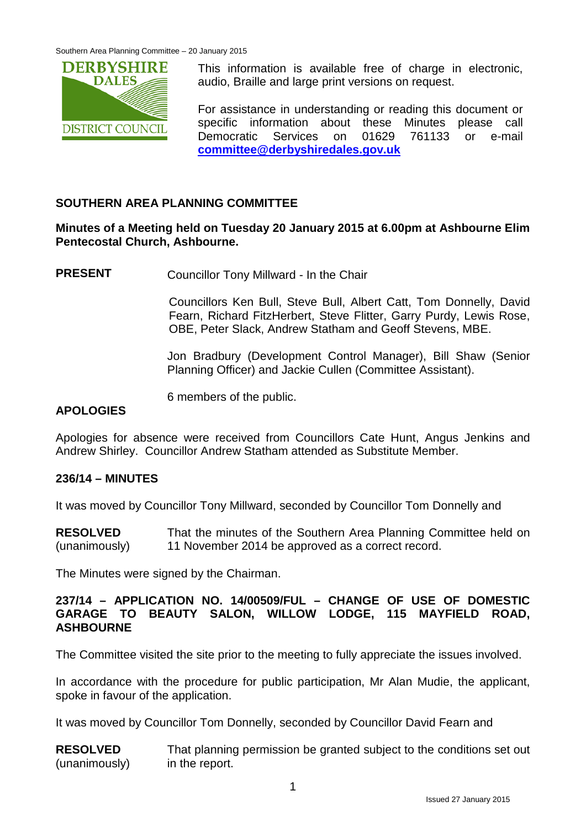

This information is available free of charge in electronic, audio, Braille and large print versions on request.

For assistance in understanding or reading this document or specific information about these Minutes please call Democratic Services on 01629 761133 or e-mail **[committee@derbyshiredales.gov.uk](mailto:committee@derbyshiredales.gov.uk)**

# **SOUTHERN AREA PLANNING COMMITTEE**

### **Minutes of a Meeting held on Tuesday 20 January 2015 at 6.00pm at Ashbourne Elim Pentecostal Church, Ashbourne.**

**PRESENT** Councillor Tony Millward - In the Chair

Councillors Ken Bull, Steve Bull, Albert Catt, Tom Donnelly, David Fearn, Richard FitzHerbert, Steve Flitter, Garry Purdy, Lewis Rose, OBE, Peter Slack, Andrew Statham and Geoff Stevens, MBE.

Jon Bradbury (Development Control Manager), Bill Shaw (Senior Planning Officer) and Jackie Cullen (Committee Assistant).

6 members of the public.

#### **APOLOGIES**

Apologies for absence were received from Councillors Cate Hunt, Angus Jenkins and Andrew Shirley. Councillor Andrew Statham attended as Substitute Member.

#### **236/14 – MINUTES**

It was moved by Councillor Tony Millward, seconded by Councillor Tom Donnelly and

**RESOLVED** (unanimously) That the minutes of the Southern Area Planning Committee held on 11 November 2014 be approved as a correct record.

The Minutes were signed by the Chairman.

#### **237/14 – APPLICATION NO. 14/00509/FUL – CHANGE OF USE OF DOMESTIC GARAGE TO BEAUTY SALON, WILLOW LODGE, 115 MAYFIELD ROAD, ASHBOURNE**

The Committee visited the site prior to the meeting to fully appreciate the issues involved.

In accordance with the procedure for public participation, Mr Alan Mudie, the applicant, spoke in favour of the application.

It was moved by Councillor Tom Donnelly, seconded by Councillor David Fearn and

**RESOLVED** (unanimously) That planning permission be granted subject to the conditions set out in the report.